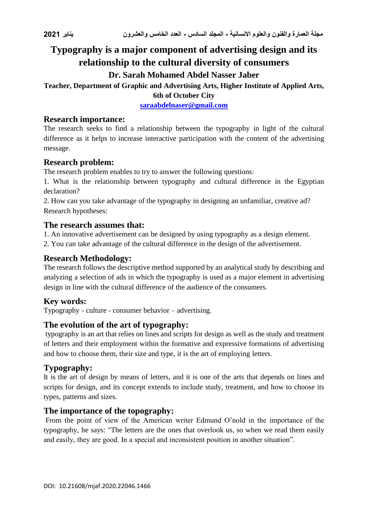# **Typography is a major component of advertising design and its relationship to the cultural diversity of consumers**

# **Dr. Sarah Mohamed Abdel Nasser Jaber**

# **Teacher, Department of Graphic and Advertising Arts, Higher Institute of Applied Arts,**

**6th of October City**

**[saraabdelnaser@gmail.com](mailto:saraabdelnaser@gmail.com)**

#### **Research importance:**

The research seeks to find a relationship between the typography in light of the cultural difference as it helps to increase interactive participation with the content of the advertising message.

#### **Research problem:**

The research problem enables to try to answer the following questions:

1. What is the relationship between typography and cultural difference in the Egyptian declaration?

2. How can you take advantage of the typography in designing an unfamiliar, creative ad? Research hypotheses:

#### **The research assumes that:**

1. An innovative advertisement can be designed by using typography as a design element.

2. You can take advantage of the cultural difference in the design of the advertisement.

#### **Research Methodology:**

The research follows the descriptive method supported by an analytical study by describing and analyzing a selection of ads in which the typography is used as a major element in advertising design in line with the cultural difference of the audience of the consumers.

# **Key words:**

Typography - culture - consumer behavior – advertising.

# **The evolution of the art of typography:**

typography is an art that relies on lines and scripts for design as well as the study and treatment of letters and their employment within the formative and expressive formations of advertising and how to choose them, their size and type, it is the art of employing letters.

# **Typography:**

It is the art of design by means of letters, and it is one of the arts that depends on lines and scripts for design, and its concept extends to include study, treatment, and how to choose its types, patterns and sizes.

#### **The importance of the topography:**

From the point of view of the American writer Edmund O'nold in the importance of the typography, he says: "The letters are the ones that overlook us, so when we read them easily and easily, they are good. In a special and inconsistent position in another situation".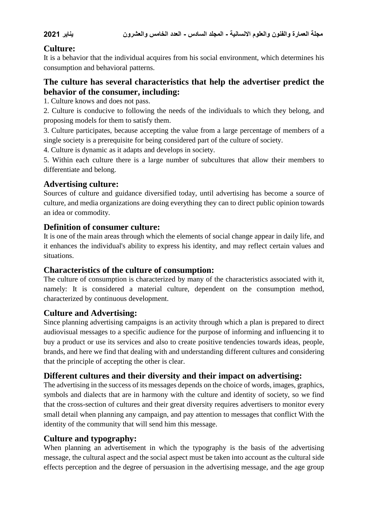# **Culture:**

It is a behavior that the individual acquires from his social environment, which determines his consumption and behavioral patterns.

# **The culture has several characteristics that help the advertiser predict the behavior of the consumer, including:**

1. Culture knows and does not pass.

2. Culture is conducive to following the needs of the individuals to which they belong, and proposing models for them to satisfy them.

3. Culture participates, because accepting the value from a large percentage of members of a single society is a prerequisite for being considered part of the culture of society.

4. Culture is dynamic as it adapts and develops in society.

5. Within each culture there is a large number of subcultures that allow their members to differentiate and belong.

#### **Advertising culture:**

Sources of culture and guidance diversified today, until advertising has become a source of culture, and media organizations are doing everything they can to direct public opinion towards an idea or commodity.

#### **Definition of consumer culture:**

It is one of the main areas through which the elements of social change appear in daily life, and it enhances the individual's ability to express his identity, and may reflect certain values and situations.

#### **Characteristics of the culture of consumption:**

The culture of consumption is characterized by many of the characteristics associated with it, namely: It is considered a material culture, dependent on the consumption method, characterized by continuous development.

# **Culture and Advertising:**

Since planning advertising campaigns is an activity through which a plan is prepared to direct audiovisual messages to a specific audience for the purpose of informing and influencing it to buy a product or use its services and also to create positive tendencies towards ideas, people, brands, and here we find that dealing with and understanding different cultures and considering that the principle of accepting the other is clear.

# **Different cultures and their diversity and their impact on advertising:**

The advertising in the success of its messages depends on the choice of words, images, graphics, symbols and dialects that are in harmony with the culture and identity of society, so we find that the cross-section of cultures and their great diversity requires advertisers to monitor every small detail when planning any campaign, and pay attention to messages that conflict With the identity of the community that will send him this message.

# **Culture and typography:**

When planning an advertisement in which the typography is the basis of the advertising message, the cultural aspect and the social aspect must be taken into account as the cultural side effects perception and the degree of persuasion in the advertising message, and the age group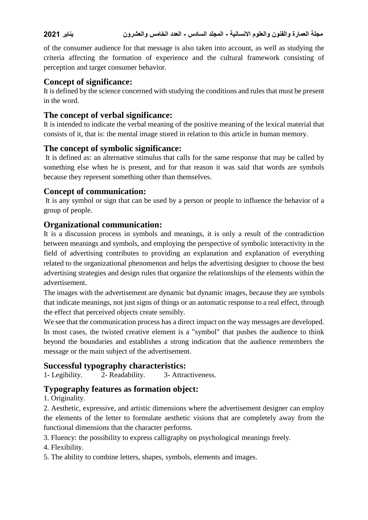of the consumer audience for that message is also taken into account, as well as studying the criteria affecting the formation of experience and the cultural framework consisting of perception and target consumer behavior.

# **Concept of significance:**

It is defined by the science concerned with studying the conditions and rules that must be present in the word.

# **The concept of verbal significance:**

It is intended to indicate the verbal meaning of the positive meaning of the lexical material that consists of it, that is: the mental image stored in relation to this article in human memory.

# **The concept of symbolic significance:**

It is defined as: an alternative stimulus that calls for the same response that may be called by something else when he is present, and for that reason it was said that words are symbols because they represent something other than themselves.

# **Concept of communication:**

It is any symbol or sign that can be used by a person or people to influence the behavior of a group of people.

# **Organizational communication:**

It is a discussion process in symbols and meanings, it is only a result of the contradiction between meanings and symbols, and employing the perspective of symbolic interactivity in the field of advertising contributes to providing an explanation and explanation of everything related to the organizational phenomenon and helps the advertising designer to choose the best advertising strategies and design rules that organize the relationships of the elements within the advertisement.

The images with the advertisement are dynamic but dynamic images, because they are symbols that indicate meanings, not just signs of things or an automatic response to a real effect, through the effect that perceived objects create sensibly.

We see that the communication process has a direct impact on the way messages are developed. In most cases, the twisted creative element is a "symbol" that pushes the audience to think beyond the boundaries and establishes a strong indication that the audience remembers the message or the main subject of the advertisement.

# **Successful typography characteristics:**

1- Legibility. 2- Readability. 3- Attractiveness.

# **Typography features as formation object:**

1. Originality.

2. Aesthetic, expressive, and artistic dimensions where the advertisement designer can employ the elements of the letter to formulate aesthetic visions that are completely away from the functional dimensions that the character performs.

3. Fluency: the possibility to express calligraphy on psychological meanings freely.

- 4. Flexibility.
- 5. The ability to combine letters, shapes, symbols, elements and images.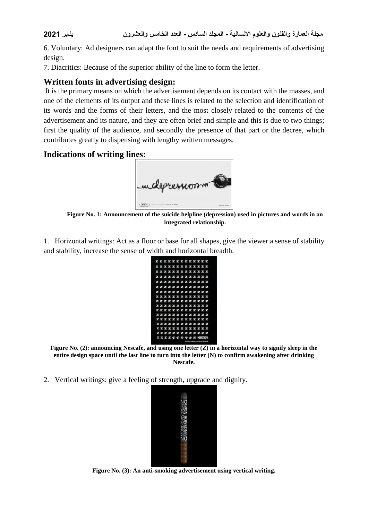6. Voluntary: Ad designers can adapt the font to suit the needs and requirements of advertising design.

7. Diacritics: Because of the superior ability of the line to form the letter.

# **Written fonts in advertising design:**

It is the primary means on which the advertisement depends on its contact with the masses, and one of the elements of its output and these lines is related to the selection and identification of its words and the forms of their letters, and the most closely related to the contents of the advertisement and its nature, and they are often brief and simple and this is due to two things; first the quality of the audience, and secondly the presence of that part or the decree, which contributes greatly to dispensing with lengthy written messages.

#### **Indications of writing lines:**



**Figure No. 1: Announcement of the suicide helpline (depression) used in pictures and words in an integrated relationship.**

1. Horizontal writings: Act as a floor or base for all shapes, give the viewer a sense of stability and stability, increase the sense of width and horizontal breadth.

|  |  | <b>ZZZZZZZZZZZZZ</b><br>Z Z Z Z Z Z Z Z Z Z Z Z<br><b>ZZZZZZZZZZZZZ</b><br><b>ZZZZZZZZZZZZ</b><br>Z Z Z Z Z Z Z Z Z Z Z Z<br><b>ZZZZZZZZZZZZZ</b><br>2 2 2 2 2 2 2 2 2 2 2 2 2<br>2 2 2 2 2 2 2 2 2 2 2 2<br><b>ZZZZZZZZZZZZZ</b><br><b>ZZZZZZZZZZZZZ</b><br><b>ZZZZZZZZZZZZZ</b><br><b>ZZZZZZZZZZZZZ</b> |
|--|--|-----------------------------------------------------------------------------------------------------------------------------------------------------------------------------------------------------------------------------------------------------------------------------------------------------------|
|  |  |                                                                                                                                                                                                                                                                                                           |
|  |  |                                                                                                                                                                                                                                                                                                           |
|  |  |                                                                                                                                                                                                                                                                                                           |
|  |  |                                                                                                                                                                                                                                                                                                           |
|  |  |                                                                                                                                                                                                                                                                                                           |
|  |  |                                                                                                                                                                                                                                                                                                           |

**Figure No. (2): announcing Nescafe, and using one letter (Z) in a horizontal way to signify sleep in the entire design space until the last line to turn into the letter (N) to confirm awakening after drinking Nescafe.**

2. Vertical writings: give a feeling of strength, upgrade and dignity.



**Figure No. (3): An anti-smoking advertisement using vertical writing.**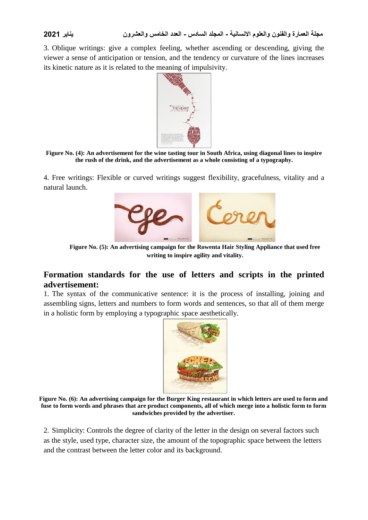3. Oblique writings: give a complex feeling, whether ascending or descending, giving the viewer a sense of anticipation or tension, and the tendency or curvature of the lines increases its kinetic nature as it is related to the meaning of impulsivity.



#### **Figure No. (4): An advertisement for the wine tasting tour in South Africa, using diagonal lines to inspire the rush of the drink, and the advertisement as a whole consisting of a typography.**

4. Free writings: Flexible or curved writings suggest flexibility, gracefulness, vitality and a natural launch.



**Figure No. (5): An advertising campaign for the Rowenta Hair Styling Appliance that used free writing to inspire agility and vitality.**

#### **Formation standards for the use of letters and scripts in the printed advertisement:**

1. The syntax of the communicative sentence: it is the process of installing, joining and assembling signs, letters and numbers to form words and sentences, so that all of them merge in a holistic form by employing a typographic space aesthetically.



**Figure No. (6): An advertising campaign for the Burger King restaurant in which letters are used to form and fuse to form words and phrases that are product components, all of which merge into a holistic form to form sandwiches provided by the advertiser.**

2. Simplicity: Controls the degree of clarity of the letter in the design on several factors such as the style, used type, character size, the amount of the topographic space between the letters and the contrast between the letter color and its background.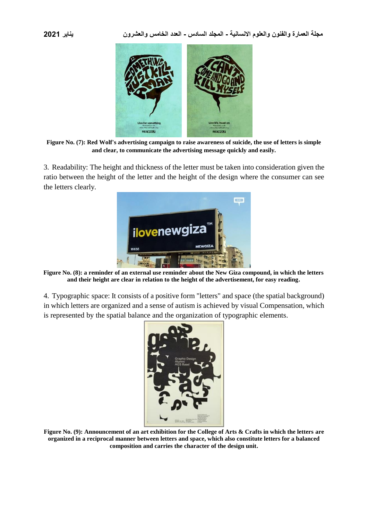

**Figure No. (7): Red Wolf's advertising campaign to raise awareness of suicide, the use of letters is simple and clear, to communicate the advertising message quickly and easily.**

3. Readability: The height and thickness of the letter must be taken into consideration given the ratio between the height of the letter and the height of the design where the consumer can see the letters clearly.



**Figure No. (8): a reminder of an external use reminder about the New Giza compound, in which the letters and their height are clear in relation to the height of the advertisement, for easy reading.**

4. Typographic space: It consists of a positive form "letters" and space (the spatial background) in which letters are organized and a sense of autism is achieved by visual Compensation, which is represented by the spatial balance and the organization of typographic elements.



**Figure No. (9): Announcement of an art exhibition for the College of Arts & Crafts in which the letters are organized in a reciprocal manner between letters and space, which also constitute letters for a balanced composition and carries the character of the design unit.**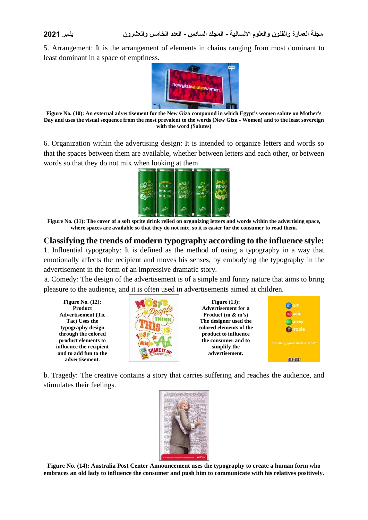5. Arrangement: It is the arrangement of elements in chains ranging from most dominant to least dominant in a space of emptiness.



**Figure No. (10): An external advertisement for the New Giza compound in which Egypt's women salute on Mother's Day and uses the visual sequence from the most prevalent to the words (New Giza - Women) and to the least sovereign with the word (Salutes)**

6. Organization within the advertising design: It is intended to organize letters and words so that the spaces between them are available, whether between letters and each other, or between words so that they do not mix when looking at them.



**Figure No. (11): The cover of a soft sprite drink relied on organizing letters and words within the advertising space, where spaces are available so that they do not mix, so it is easier for the consumer to read them.**

#### **Classifying the trends of modern typography according to the influence style:**

1. Influential typography: It is defined as the method of using a typography in a way that emotionally affects the recipient and moves his senses, by embodying the typography in the advertisement in the form of an impressive dramatic story.

a. Comedy: The design of the advertisement is of a simple and funny nature that aims to bring pleasure to the audience, and it is often used in advertisements aimed at children.

**Figure No. (12): Product Advertisement (Tic Tac) Uses the typography design through the colored product elements to influence the recipient and to add fun to the advertisement.**



**Figure (13): Advertisement for a Product (m & m's) The designer used the colored elements of the product to influence the consumer and to simplify the advertisement.**



b. Tragedy: The creative contains a story that carries suffering and reaches the audience, and stimulates their feelings.



**Figure No. (14): Australia Post Center Announcement uses the typography to create a human form who embraces an old lady to influence the consumer and push him to communicate with his relatives positively.**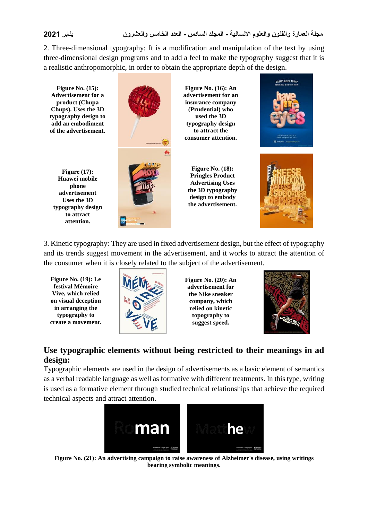2. Three-dimensional typography: It is a modification and manipulation of the text by using three-dimensional design programs and to add a feel to make the typography suggest that it is a realistic anthropomorphic, in order to obtain the appropriate depth of the design.

BABIES BORN TODAY **Figure No. (15): Figure No. (16): An Advertisement for a advertisement for an product (Chupa insurance company Chups). Uses the 3D (Prudential) who typography design to used the 3D typography design add an embodiment of the advertisement. to attract the consumer attention. Figure No. (18): Figure (17): Pringles Product Huawei mobile Advertising Uses phone the 3D typography advertisement design to embody Uses the 3D the advertisement. typography design to attract attention.**

3. Kinetic typography: They are used in fixed advertisement design, but the effect of typography and its trends suggest movement in the advertisement, and it works to attract the attention of the consumer when it is closely related to the subject of the advertisement.

**Figure No. (19): Le festival Mémoire Vive, which relied on visual deception in arranging the typography to create a movement.**



**Figure No. (20): An advertisement for the Nike sneaker company, which relied on kinetic topography to suggest speed.**



# **Use typographic elements without being restricted to their meanings in ad design:**

Typographic elements are used in the design of advertisements as a basic element of semantics as a verbal readable language as well as formative with different treatments. In this type, writing is used as a formative element through studied technical relationships that achieve the required technical aspects and attract attention.



**Figure No. (21): An advertising campaign to raise awareness of Alzheimer's disease, using writings bearing symbolic meanings.**